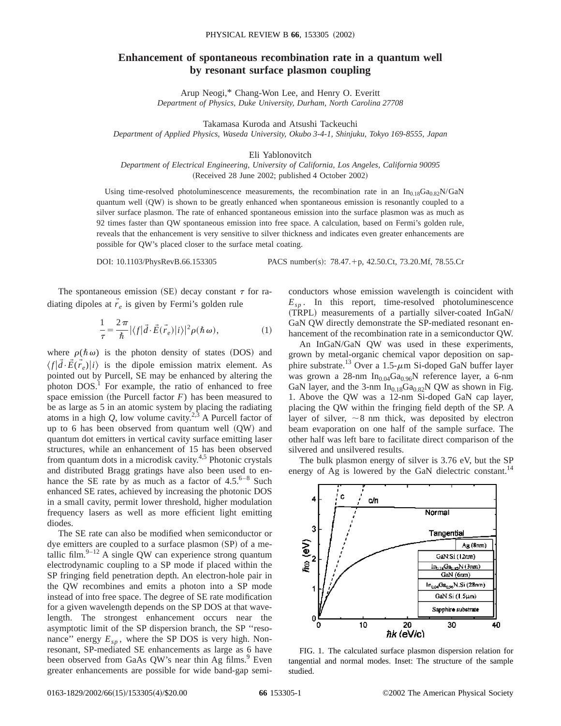## **Enhancement of spontaneous recombination rate in a quantum well by resonant surface plasmon coupling**

Arup Neogi,\* Chang-Won Lee, and Henry O. Everitt *Department of Physics, Duke University, Durham, North Carolina 27708*

Takamasa Kuroda and Atsushi Tackeuchi

*Department of Applied Physics, Waseda University, Okubo 3-4-1, Shinjuku, Tokyo 169-8555, Japan*

Eli Yablonovitch

*Department of Electrical Engineering, University of California, Los Angeles, California 90095* (Received 28 June 2002; published 4 October 2002)

Using time-resolved photoluminescence measurements, the recombination rate in an  $In_{0.18}Ga_{0.82}N/GaN$ quantum well (QW) is shown to be greatly enhanced when spontaneous emission is resonantly coupled to a silver surface plasmon. The rate of enhanced spontaneous emission into the surface plasmon was as much as 92 times faster than QW spontaneous emission into free space. A calculation, based on Fermi's golden rule, reveals that the enhancement is very sensitive to silver thickness and indicates even greater enhancements are possible for QW's placed closer to the surface metal coating.

DOI: 10.1103/PhysRevB.66.153305 PACS number(s): 78.47.+p, 42.50.Ct, 73.20.Mf, 78.55.Cr

The spontaneous emission (SE) decay constant  $\tau$  for radiating dipoles at  $\vec{r}_e$  is given by Fermi's golden rule

$$
\frac{1}{\tau} = \frac{2\pi}{\hbar} |\langle f|\vec{d}\cdot\vec{E}(\vec{r}_e)|i\rangle|^2 \rho(\hbar\,\omega),\tag{1}
$$

where  $\rho(\hbar \omega)$  is the photon density of states (DOS) and  $\langle f | \vec{d} \cdot \vec{E}(\vec{r}_e) | i \rangle$  is the dipole emission matrix element. As pointed out by Purcell, SE may be enhanced by altering the photon  $DOS<sup>1</sup>$ . For example, the ratio of enhanced to free space emission (the Purcell factor  $F$ ) has been measured to be as large as 5 in an atomic system by placing the radiating atoms in a high  $Q$ , low volume cavity.<sup>2,3</sup> A Purcell factor of up to 6 has been observed from quantum well (QW) and quantum dot emitters in vertical cavity surface emitting laser structures, while an enhancement of 15 has been observed from quantum dots in a microdisk cavity.4,5 Photonic crystals and distributed Bragg gratings have also been used to enhance the SE rate by as much as a factor of  $4.5.^{6-8}$  Such enhanced SE rates, achieved by increasing the photonic DOS in a small cavity, permit lower threshold, higher modulation frequency lasers as well as more efficient light emitting diodes.

The SE rate can also be modified when semiconductor or dye emitters are coupled to a surface plasmon  $(SP)$  of a metallic film. $9-12$  A single QW can experience strong quantum electrodynamic coupling to a SP mode if placed within the SP fringing field penetration depth. An electron-hole pair in the QW recombines and emits a photon into a SP mode instead of into free space. The degree of SE rate modification for a given wavelength depends on the SP DOS at that wavelength. The strongest enhancement occurs near the asymptotic limit of the SP dispersion branch, the SP ''resonance" energy  $E_{sp}$ , where the SP DOS is very high. Nonresonant, SP-mediated SE enhancements as large as 6 have been observed from GaAs QW's near thin Ag films.<sup>9</sup> Even greater enhancements are possible for wide band-gap semiconductors whose emission wavelength is coincident with  $E_{sn}$ . In this report, time-resolved photoluminescence (TRPL) measurements of a partially silver-coated InGaN/ GaN QW directly demonstrate the SP-mediated resonant enhancement of the recombination rate in a semiconductor QW.

An InGaN/GaN QW was used in these experiments, grown by metal-organic chemical vapor deposition on sapphire substrate.<sup>13</sup> Over a 1.5- $\mu$ m Si-doped GaN buffer layer was grown a 28-nm  $In<sub>0.04</sub>Ga<sub>0.96</sub>N$  reference layer, a 6-nm GaN layer, and the 3-nm  $In<sub>0.18</sub>Ga<sub>0.82</sub>N$  QW as shown in Fig. 1. Above the QW was a 12-nm Si-doped GaN cap layer, placing the QW within the fringing field depth of the SP. A layer of silver,  $\sim 8$  nm thick, was deposited by electron beam evaporation on one half of the sample surface. The other half was left bare to facilitate direct comparison of the silvered and unsilvered results.

The bulk plasmon energy of silver is 3.76 eV, but the SP energy of Ag is lowered by the GaN dielectric constant.<sup>14</sup>



FIG. 1. The calculated surface plasmon dispersion relation for tangential and normal modes. Inset: The structure of the sample studied.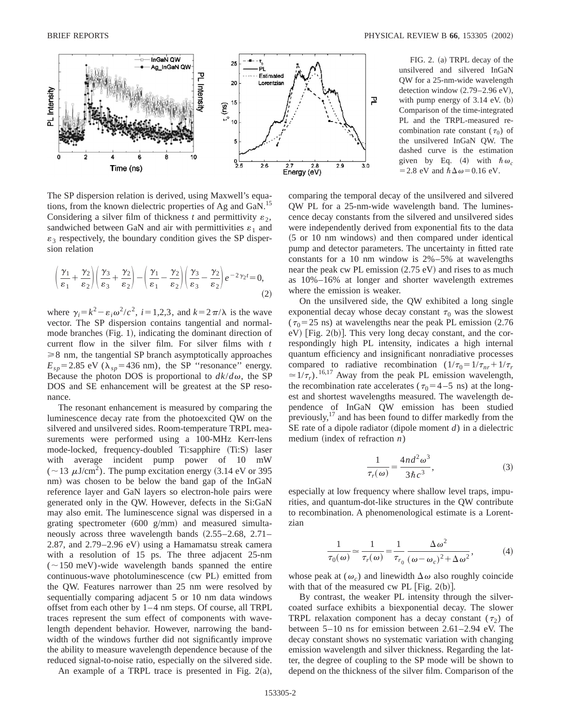

The SP dispersion relation is derived, using Maxwell's equations, from the known dielectric properties of Ag and GaN.<sup>15</sup> Considering a silver film of thickness *t* and permittivity  $\varepsilon_2$ , sandwiched between GaN and air with permittivities  $\varepsilon_1$  and  $\varepsilon_3$  respectively, the boundary condition gives the SP dispersion relation

$$
\left(\frac{\gamma_1}{\varepsilon_1} + \frac{\gamma_2}{\varepsilon_2}\right) \left(\frac{\gamma_3}{\varepsilon_3} + \frac{\gamma_2}{\varepsilon_2}\right) - \left(\frac{\gamma_1}{\varepsilon_1} - \frac{\gamma_2}{\varepsilon_2}\right) \left(\frac{\gamma_3}{\varepsilon_3} - \frac{\gamma_2}{\varepsilon_2}\right) e^{-2\gamma_2 t} = 0,
$$
\n(2)

where  $\gamma_i = k^2 - \varepsilon_i \omega^2/c^2$ ,  $i = 1,2,3$ , and  $k = 2\pi/\lambda$  is the wave vector. The SP dispersion contains tangential and normalmode branches  $(Fig. 1)$ , indicating the dominant direction of current flow in the silver film. For silver films with *t*  $\geq 8$  nm, the tangential SP branch asymptotically approaches  $E_{sp}$ =2.85 eV ( $\lambda_{sp}$ =436 nm), the SP "resonance" energy. Because the photon DOS is proportional to  $dk/d\omega$ , the SP DOS and SE enhancement will be greatest at the SP resonance.

The resonant enhancement is measured by comparing the luminescence decay rate from the photoexcited QW on the silvered and unsilvered sides. Room-temperature TRPL measurements were performed using a 100-MHz Kerr-lens mode-locked, frequency-doubled Ti:sapphire (Ti:S) laser with average incident pump power of 10 mW  $(~13 \mu J/cm^2)$ . The pump excitation energy (3.14 eV or 395) nm) was chosen to be below the band gap of the InGaN reference layer and GaN layers so electron-hole pairs were generated only in the QW. However, defects in the Si:GaN may also emit. The luminescence signal was dispersed in a grating spectrometer  $(600 \text{ g/mm})$  and measured simultaneously across three wavelength bands  $(2.55-2.68, 2.71-$ 2.87, and  $2.79-2.96$  eV) using a Hamamatsu streak camera with a resolution of 15 ps. The three adjacent 25-nm  $(\sim150 \text{ meV})$ -wide wavelength bands spanned the entire continuous-wave photoluminescence (cw PL) emitted from the QW. Features narrower than 25 nm were resolved by sequentially comparing adjacent 5 or 10 nm data windows offset from each other by 1–4 nm steps. Of course, all TRPL traces represent the sum effect of components with wavelength dependent behavior. However, narrowing the bandwidth of the windows further did not significantly improve the ability to measure wavelength dependence because of the reduced signal-to-noise ratio, especially on the silvered side.

An example of a TRPL trace is presented in Fig.  $2(a)$ ,

FIG. 2. (a) TRPL decay of the unsilvered and silvered InGaN QW for a 25-nm-wide wavelength detection window  $(2.79-2.96 \text{ eV})$ , with pump energy of  $3.14$  eV.  $(b)$ Comparison of the time-integrated PL and the TRPL-measured recombination rate constant ( $\tau_0$ ) of the unsilvered InGaN QW. The dashed curve is the estimation given by Eq. (4) with  $\hbar \omega_c$ = 2.8 eV and  $\hbar\Delta\omega$  = 0.16 eV.

comparing the temporal decay of the unsilvered and silvered QW PL for a 25-nm-wide wavelength band. The luminescence decay constants from the silvered and unsilvered sides were independently derived from exponential fits to the data  $(5$  or 10 nm windows) and then compared under identical pump and detector parameters. The uncertainty in fitted rate constants for a 10 nm window is 2%–5% at wavelengths near the peak cw PL emission  $(2.75 \text{ eV})$  and rises to as much as 10%–16% at longer and shorter wavelength extremes where the emission is weaker.

On the unsilvered side, the QW exhibited a long single exponential decay whose decay constant  $\tau_0$  was the slowest ( $\tau_0$ =25 ns) at wavelengths near the peak PL emission (2.76)  $eV$ ) [Fig. 2(b)]. This very long decay constant, and the correspondingly high PL intensity, indicates a high internal quantum efficiency and insignificant nonradiative processes compared to radiative recombination  $(1/\tau_0 = 1/\tau_{nr} + 1/\tau_r)$  $\approx 1/\tau_r$ ).<sup>16,17</sup> Away from the peak PL emission wavelength, the recombination rate accelerates ( $\tau_0$ =4-5 ns) at the longest and shortest wavelengths measured. The wavelength dependence of InGaN QW emission has been studied previously, $17$  and has been found to differ markedly from the SE rate of a dipole radiator (dipole moment  $d$ ) in a dielectric medium (index of refraction  $n$ )

$$
\frac{1}{\tau_r(\omega)} = \frac{4nd^2\omega^3}{3\hbar c^3},\tag{3}
$$

especially at low frequency where shallow level traps, impurities, and quantum-dot-like structures in the QW contribute to recombination. A phenomenological estimate is a Lorentzian

$$
\frac{1}{\tau_0(\omega)} \simeq \frac{1}{\tau_r(\omega)} = \frac{1}{\tau_{r_0}} \frac{\Delta \omega^2}{(\omega - \omega_c)^2 + \Delta \omega^2},
$$
(4)

whose peak at  $(\omega_c)$  and linewidth  $\Delta \omega$  also roughly coincide with that of the measured cw PL  $[Fig. 2(b)].$ 

By contrast, the weaker PL intensity through the silvercoated surface exhibits a biexponential decay. The slower TRPL relaxation component has a decay constant  $(\tau_2)$  of between 5–10 ns for emission between 2.61–2.94 eV. The decay constant shows no systematic variation with changing emission wavelength and silver thickness. Regarding the latter, the degree of coupling to the SP mode will be shown to depend on the thickness of the silver film. Comparison of the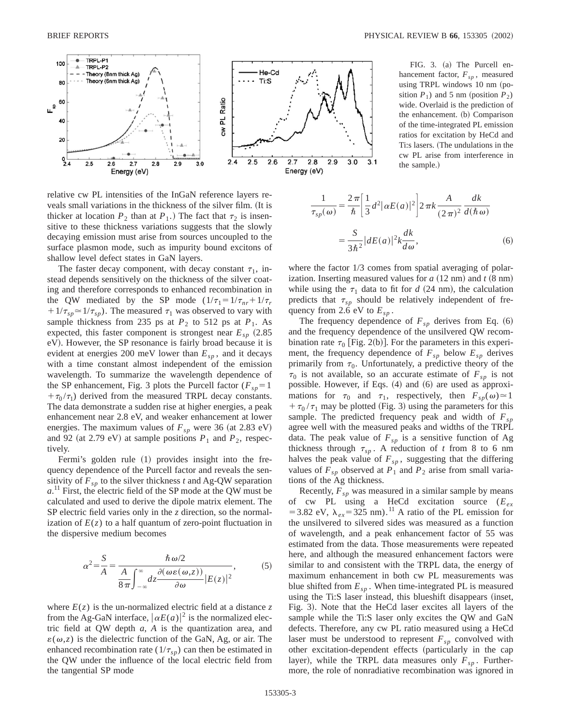

relative cw PL intensities of the InGaN reference layers reveals small variations in the thickness of the silver film. (It is thicker at location  $P_2$  than at  $P_1$ .) The fact that  $\tau_2$  is insensitive to these thickness variations suggests that the slowly decaying emission must arise from sources uncoupled to the surface plasmon mode, such as impurity bound excitons of shallow level defect states in GaN layers.

The faster decay component, with decay constant  $\tau_1$ , instead depends sensitively on the thickness of the silver coating and therefore corresponds to enhanced recombination in the QW mediated by the SP mode  $(1/\tau_1 = 1/\tau_{nr} + 1/\tau_r)$  $1/\tau_{sp} \approx 1/\tau_{sp}$ ). The measured  $\tau_1$  was observed to vary with sample thickness from 235 ps at  $P_2$  to 512 ps at  $P_1$ . As expected, this faster component is strongest near  $E_{sp}$   $(2.85$ eV). However, the SP resonance is fairly broad because it is evident at energies 200 meV lower than  $E_{sp}$ , and it decays with a time constant almost independent of the emission wavelength. To summarize the wavelength dependence of the SP enhancement, Fig. 3 plots the Purcell factor ( $F_{sp}$ =1  $+\tau_0/\tau_1$ ) derived from the measured TRPL decay constants. The data demonstrate a sudden rise at higher energies, a peak enhancement near 2.8 eV, and weaker enhancement at lower energies. The maximum values of  $F_{sp}$  were 36 (at 2.83 eV) and 92 (at 2.79 eV) at sample positions  $P_1$  and  $P_2$ , respectively.

Fermi's golden rule  $(1)$  provides insight into the frequency dependence of the Purcell factor and reveals the sensitivity of  $F_{sp}$  to the silver thickness *t* and Ag-QW separation  $a$ .<sup>11</sup> First, the electric field of the SP mode at the QW must be calculated and used to derive the dipole matrix element. The SP electric field varies only in the *z* direction, so the normalization of  $E(z)$  to a half quantum of zero-point fluctuation in the dispersive medium becomes

$$
\alpha^2 = \frac{S}{A} = \frac{\hbar \omega/2}{\frac{A}{8\pi} \int_{-\infty}^{\infty} dz \frac{\partial(\omega \varepsilon(\omega, z))}{\partial \omega} |E(z)|^2},
$$
(5)

where  $E(z)$  is the un-normalized electric field at a distance z from the Ag-GaN interface,  $\left| \alpha E(a) \right|^2$  is the normalized electric field at QW depth *a*, *A* is the quantization area, and  $\varepsilon(\omega, z)$  is the dielectric function of the GaN, Ag, or air. The enhanced recombination rate  $(1/\tau_{sp})$  can then be estimated in the QW under the influence of the local electric field from the tangential SP mode

FIG. 3. (a) The Purcell enhancement factor,  $F_{sp}$ , measured using TRPL windows 10 nm (position  $P_1$ ) and 5 nm (position  $P_2$ ) wide. Overlaid is the prediction of the enhancement. (b) Comparison of the time-integrated PL emission ratios for excitation by HeCd and Ti:s lasers. (The undulations in the cw PL arise from interference in the sample.)

$$
\frac{1}{\tau_{sp}(\omega)} = \frac{2\pi}{\hbar} \left[ \frac{1}{3} d^2 |\alpha E(a)|^2 \right] 2\pi k \frac{A}{(2\pi)^2} \frac{dk}{d(\hbar \omega)}
$$

$$
= \frac{S}{3\hbar^2} |dE(a)|^2 k \frac{dk}{d\omega},\tag{6}
$$

where the factor  $1/3$  comes from spatial averaging of polarization. Inserting measured values for  $a$   $(12$  nm) and  $t$   $(8 \text{ nm})$ while using the  $\tau_1$  data to fit for *d* (24 nm), the calculation predicts that  $\tau_{sp}$  should be relatively independent of frequency from 2.6 eV to  $E_{sp}$ .

The frequency dependence of  $F_{sp}$  derives from Eq.  $(6)$ and the frequency dependence of the unsilvered QW recombination rate  $\tau_0$  [Fig. 2(b)]. For the parameters in this experiment, the frequency dependence of  $F_{sp}$  below  $E_{sp}$  derives primarily from  $\tau_0$ . Unfortunately, a predictive theory of the  $\tau_0$  is not available, so an accurate estimate of  $F_{sp}$  is not possible. However, if Eqs.  $(4)$  and  $(6)$  are used as approximations for  $\tau_0$  and  $\tau_1$ , respectively, then  $F_{sp}(\omega) \approx 1$  $+\tau_0 / \tau_1$  may be plotted (Fig. 3) using the parameters for this sample. The predicted frequency peak and width of  $F_{sp}$ agree well with the measured peaks and widths of the TRPL data. The peak value of  $F_{sp}$  is a sensitive function of Ag thickness through  $\tau_{sp}$ . A reduction of *t* from 8 to 6 nm halves the peak value of  $F_{sp}$ , suggesting that the differing values of  $F_{sp}$  observed at  $P_1$  and  $P_2$  arise from small variations of the Ag thickness.

Recently,  $F_{sp}$  was measured in a similar sample by means of cw PL using a HeCd excitation source (*Eex* = 3.82 eV,  $\lambda_{ex}$ = 325 nm).<sup>11</sup> A ratio of the PL emission for the unsilvered to silvered sides was measured as a function of wavelength, and a peak enhancement factor of 55 was estimated from the data. Those measurements were repeated here, and although the measured enhancement factors were similar to and consistent with the TRPL data, the energy of maximum enhancement in both cw PL measurements was blue shifted from  $E_{sp}$ . When time-integrated PL is measured using the Ti:S laser instead, this blueshift disappears (inset, Fig. 3). Note that the HeCd laser excites all layers of the sample while the Ti:S laser only excites the QW and GaN defects. Therefore, any cw PL ratio measured using a HeCd laser must be understood to represent  $F_{sp}$  convolved with other excitation-dependent effects (particularly in the cap layer), while the TRPL data measures only  $F_{sp}$ . Furthermore, the role of nonradiative recombination was ignored in